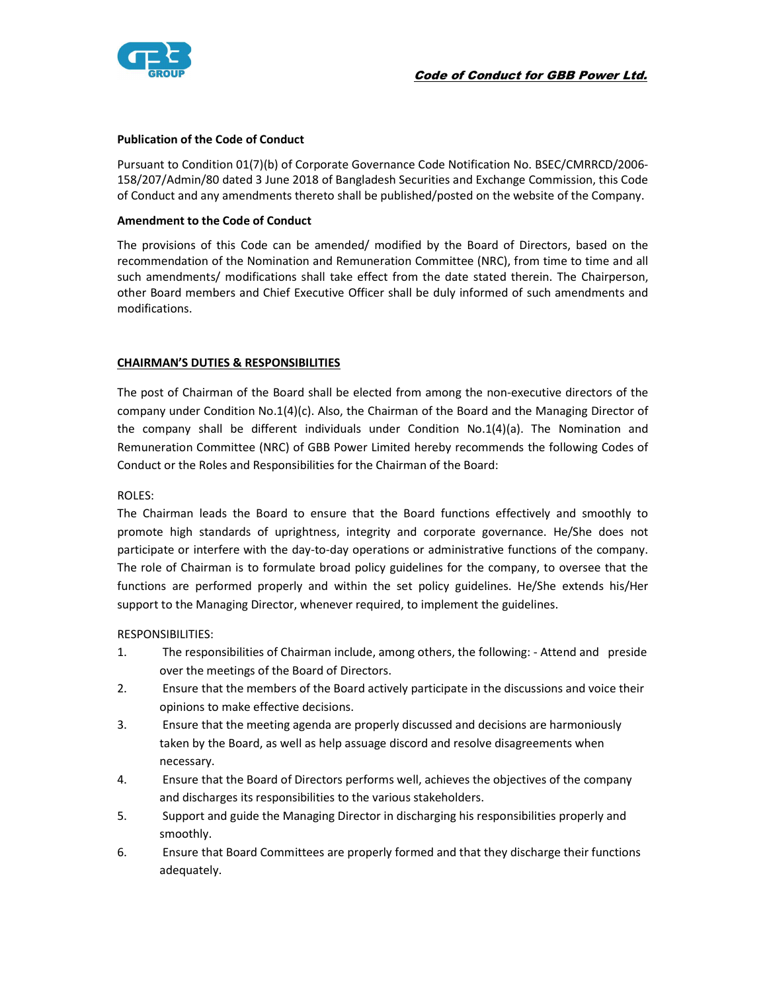

## Publication of the Code of Conduct

Pursuant to Condition 01(7)(b) of Corporate Governance Code Notification No. BSEC/CMRRCD/2006- 158/207/Admin/80 dated 3 June 2018 of Bangladesh Securities and Exchange Commission, this Code of Conduct and any amendments thereto shall be published/posted on the website of the Company.

## Amendment to the Code of Conduct

The provisions of this Code can be amended/ modified by the Board of Directors, based on the recommendation of the Nomination and Remuneration Committee (NRC), from time to time and all such amendments/ modifications shall take effect from the date stated therein. The Chairperson, other Board members and Chief Executive Officer shall be duly informed of such amendments and modifications.

## CHAIRMAN'S DUTIES & RESPONSIBILITIES

The post of Chairman of the Board shall be elected from among the non-executive directors of the company under Condition No.1(4)(c). Also, the Chairman of the Board and the Managing Director of the company shall be different individuals under Condition No.1(4)(a). The Nomination and Remuneration Committee (NRC) of GBB Power Limited hereby recommends the following Codes of Conduct or the Roles and Responsibilities for the Chairman of the Board:

## ROLES:

The Chairman leads the Board to ensure that the Board functions effectively and smoothly to promote high standards of uprightness, integrity and corporate governance. He/She does not participate or interfere with the day-to-day operations or administrative functions of the company. The role of Chairman is to formulate broad policy guidelines for the company, to oversee that the functions are performed properly and within the set policy guidelines. He/She extends his/Her support to the Managing Director, whenever required, to implement the guidelines.

#### RESPONSIBILITIES:

- 1. The responsibilities of Chairman include, among others, the following: Attend and preside over the meetings of the Board of Directors.
- 2. Ensure that the members of the Board actively participate in the discussions and voice their opinions to make effective decisions.
- 3. Ensure that the meeting agenda are properly discussed and decisions are harmoniously taken by the Board, as well as help assuage discord and resolve disagreements when necessary.
- 4. Ensure that the Board of Directors performs well, achieves the objectives of the company and discharges its responsibilities to the various stakeholders.
- 5. Support and guide the Managing Director in discharging his responsibilities properly and smoothly.
- 6. Ensure that Board Committees are properly formed and that they discharge their functions adequately.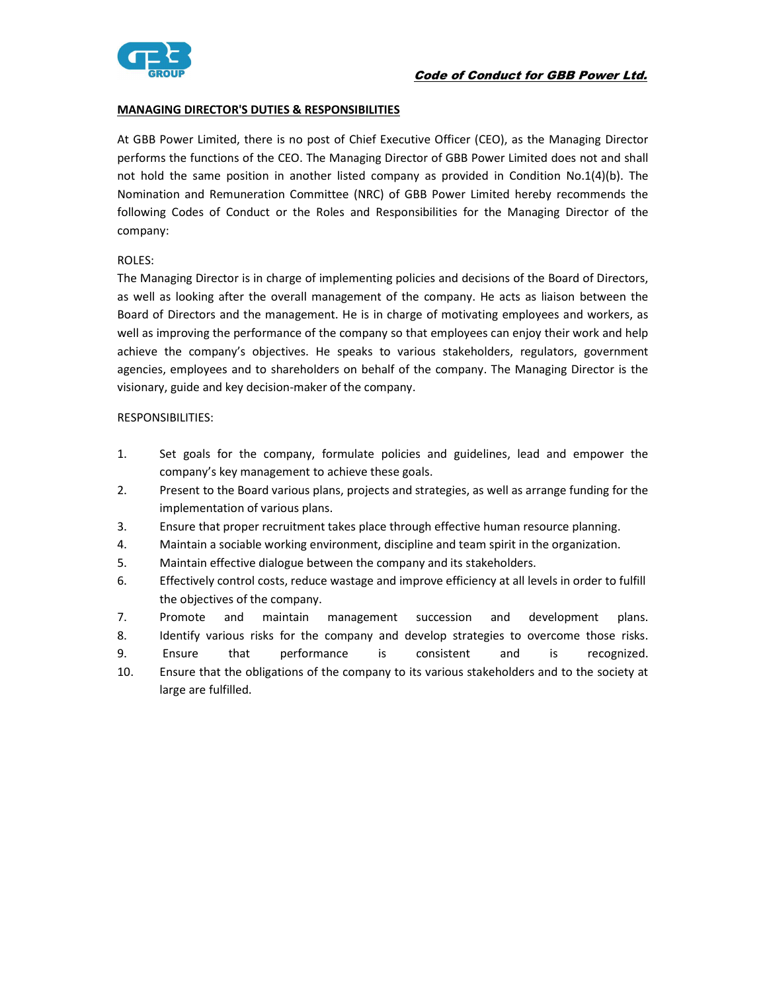

# MANAGING DIRECTOR'S DUTIES & RESPONSIBILITIES

At GBB Power Limited, there is no post of Chief Executive Officer (CEO), as the Managing Director performs the functions of the CEO. The Managing Director of GBB Power Limited does not and shall not hold the same position in another listed company as provided in Condition No.1(4)(b). The Nomination and Remuneration Committee (NRC) of GBB Power Limited hereby recommends the following Codes of Conduct or the Roles and Responsibilities for the Managing Director of the company:

## ROLES:

The Managing Director is in charge of implementing policies and decisions of the Board of Directors, as well as looking after the overall management of the company. He acts as liaison between the Board of Directors and the management. He is in charge of motivating employees and workers, as well as improving the performance of the company so that employees can enjoy their work and help achieve the company's objectives. He speaks to various stakeholders, regulators, government agencies, employees and to shareholders on behalf of the company. The Managing Director is the visionary, guide and key decision-maker of the company.

#### RESPONSIBILITIES:

- 1. Set goals for the company, formulate policies and guidelines, lead and empower the company's key management to achieve these goals.
- 2. Present to the Board various plans, projects and strategies, as well as arrange funding for the implementation of various plans.
- 3. Ensure that proper recruitment takes place through effective human resource planning.
- 4. Maintain a sociable working environment, discipline and team spirit in the organization.
- 5. Maintain effective dialogue between the company and its stakeholders.
- 6. Effectively control costs, reduce wastage and improve efficiency at all levels in order to fulfill the objectives of the company.
- 7. Promote and maintain management succession and development plans.
- 8. Identify various risks for the company and develop strategies to overcome those risks.
- 9. Ensure that performance is consistent and is recognized.
- 10. Ensure that the obligations of the company to its various stakeholders and to the society at large are fulfilled.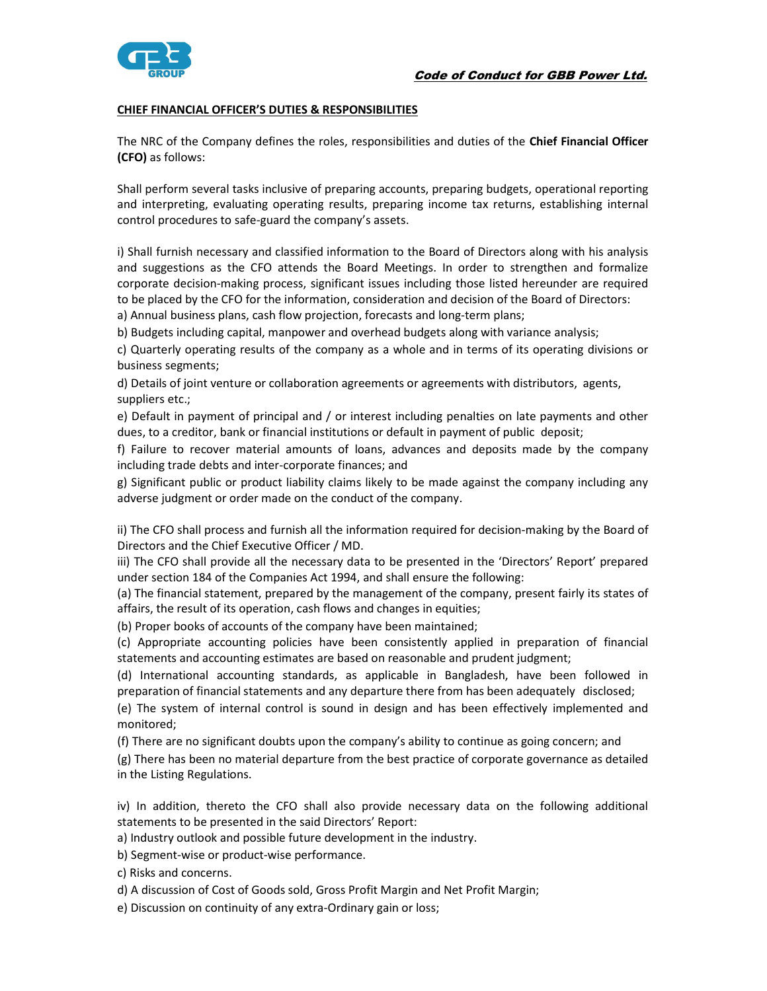

## CHIEF FINANCIAL OFFICER'S DUTIES & RESPONSIBILITIES

The NRC of the Company defines the roles, responsibilities and duties of the Chief Financial Officer (CFO) as follows:

Shall perform several tasks inclusive of preparing accounts, preparing budgets, operational reporting and interpreting, evaluating operating results, preparing income tax returns, establishing internal control procedures to safe-guard the company's assets.

i) Shall furnish necessary and classified information to the Board of Directors along with his analysis and suggestions as the CFO attends the Board Meetings. In order to strengthen and formalize corporate decision-making process, significant issues including those listed hereunder are required to be placed by the CFO for the information, consideration and decision of the Board of Directors: a) Annual business plans, cash flow projection, forecasts and long-term plans;

b) Budgets including capital, manpower and overhead budgets along with variance analysis;

c) Quarterly operating results of the company as a whole and in terms of its operating divisions or business segments;

d) Details of joint venture or collaboration agreements or agreements with distributors, agents, suppliers etc.;

e) Default in payment of principal and / or interest including penalties on late payments and other dues, to a creditor, bank or financial institutions or default in payment of public deposit;

f) Failure to recover material amounts of loans, advances and deposits made by the company including trade debts and inter-corporate finances; and

g) Significant public or product liability claims likely to be made against the company including any adverse judgment or order made on the conduct of the company.

ii) The CFO shall process and furnish all the information required for decision-making by the Board of Directors and the Chief Executive Officer / MD.

iii) The CFO shall provide all the necessary data to be presented in the 'Directors' Report' prepared under section 184 of the Companies Act 1994, and shall ensure the following:

(a) The financial statement, prepared by the management of the company, present fairly its states of affairs, the result of its operation, cash flows and changes in equities;

(b) Proper books of accounts of the company have been maintained;

(c) Appropriate accounting policies have been consistently applied in preparation of financial statements and accounting estimates are based on reasonable and prudent judgment;

(d) International accounting standards, as applicable in Bangladesh, have been followed in preparation of financial statements and any departure there from has been adequately disclosed;

(e) The system of internal control is sound in design and has been effectively implemented and monitored;

(f) There are no significant doubts upon the company's ability to continue as going concern; and

(g) There has been no material departure from the best practice of corporate governance as detailed in the Listing Regulations.

iv) In addition, thereto the CFO shall also provide necessary data on the following additional statements to be presented in the said Directors' Report:

a) Industry outlook and possible future development in the industry.

b) Segment-wise or product-wise performance.

c) Risks and concerns.

d) A discussion of Cost of Goods sold, Gross Profit Margin and Net Profit Margin;

e) Discussion on continuity of any extra-Ordinary gain or loss;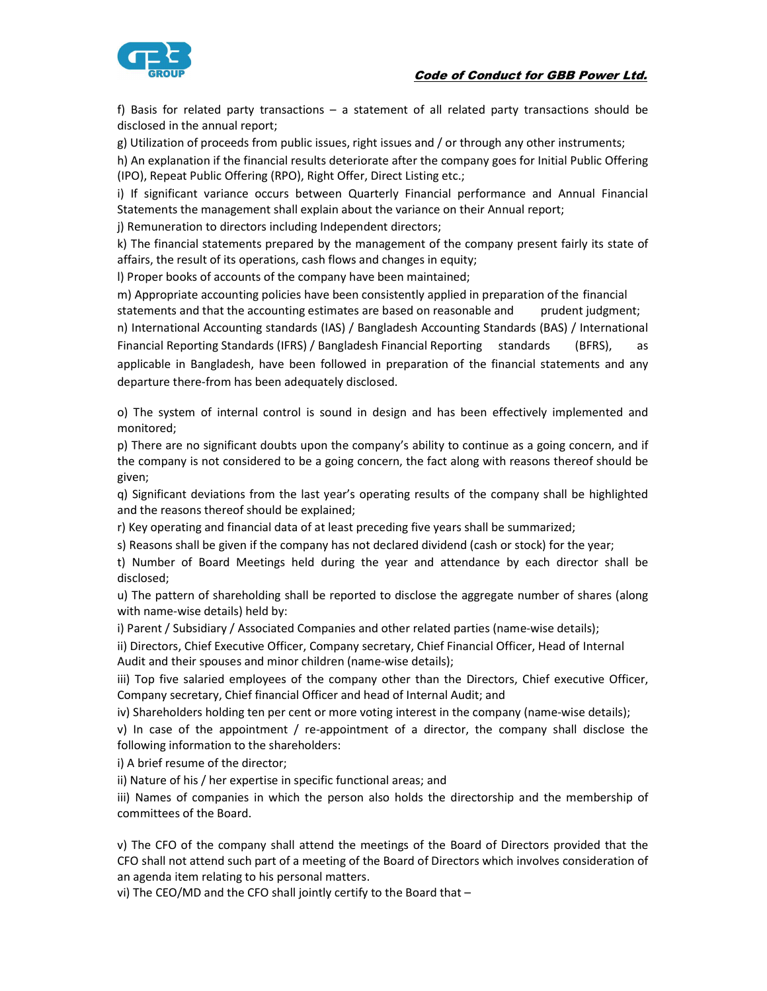

f) Basis for related party transactions – a statement of all related party transactions should be disclosed in the annual report;

g) Utilization of proceeds from public issues, right issues and / or through any other instruments;

h) An explanation if the financial results deteriorate after the company goes for Initial Public Offering (IPO), Repeat Public Offering (RPO), Right Offer, Direct Listing etc.;

i) If significant variance occurs between Quarterly Financial performance and Annual Financial Statements the management shall explain about the variance on their Annual report;

j) Remuneration to directors including Independent directors;

k) The financial statements prepared by the management of the company present fairly its state of affairs, the result of its operations, cash flows and changes in equity;

l) Proper books of accounts of the company have been maintained;

m) Appropriate accounting policies have been consistently applied in preparation of the financial statements and that the accounting estimates are based on reasonable and prudent judgment; n) International Accounting standards (IAS) / Bangladesh Accounting Standards (BAS) / International Financial Reporting Standards (IFRS) / Bangladesh Financial Reporting standards (BFRS), as applicable in Bangladesh, have been followed in preparation of the financial statements and any departure there-from has been adequately disclosed.

o) The system of internal control is sound in design and has been effectively implemented and monitored;

p) There are no significant doubts upon the company's ability to continue as a going concern, and if the company is not considered to be a going concern, the fact along with reasons thereof should be given;

q) Significant deviations from the last year's operating results of the company shall be highlighted and the reasons thereof should be explained;

r) Key operating and financial data of at least preceding five years shall be summarized;

s) Reasons shall be given if the company has not declared dividend (cash or stock) for the year;

t) Number of Board Meetings held during the year and attendance by each director shall be disclosed;

u) The pattern of shareholding shall be reported to disclose the aggregate number of shares (along with name-wise details) held by:

i) Parent / Subsidiary / Associated Companies and other related parties (name-wise details);

ii) Directors, Chief Executive Officer, Company secretary, Chief Financial Officer, Head of Internal Audit and their spouses and minor children (name-wise details);

iii) Top five salaried employees of the company other than the Directors, Chief executive Officer, Company secretary, Chief financial Officer and head of Internal Audit; and

iv) Shareholders holding ten per cent or more voting interest in the company (name-wise details);

v) In case of the appointment / re-appointment of a director, the company shall disclose the following information to the shareholders:

i) A brief resume of the director;

ii) Nature of his / her expertise in specific functional areas; and

iii) Names of companies in which the person also holds the directorship and the membership of committees of the Board.

v) The CFO of the company shall attend the meetings of the Board of Directors provided that the CFO shall not attend such part of a meeting of the Board of Directors which involves consideration of an agenda item relating to his personal matters.

vi) The CEO/MD and the CFO shall jointly certify to the Board that –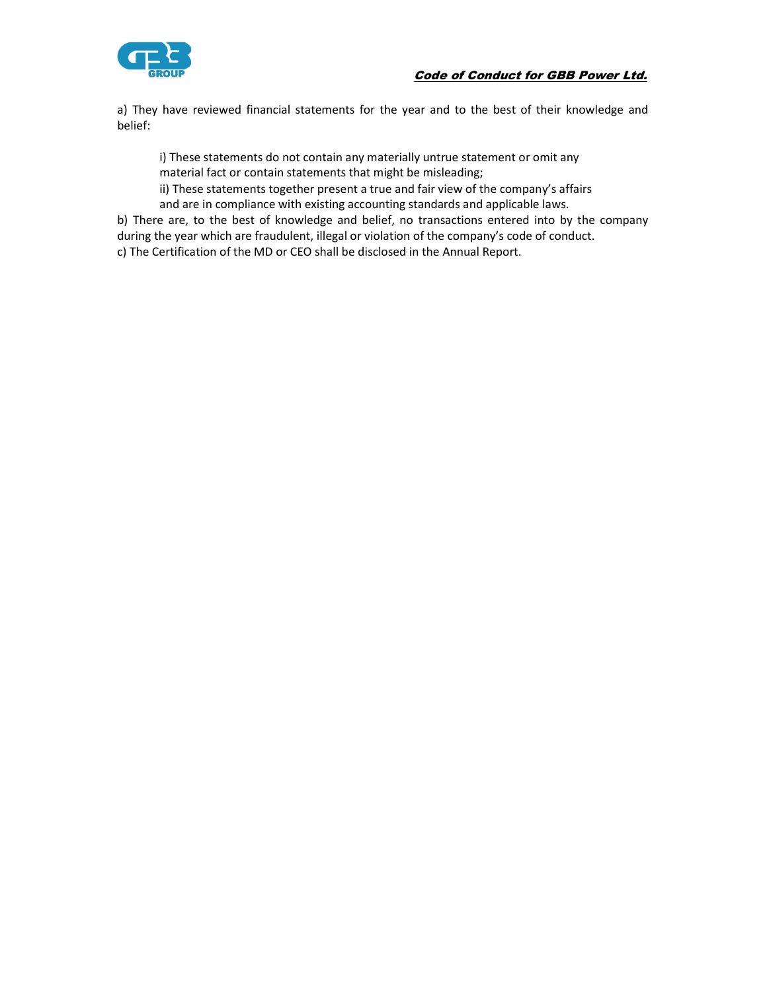# Code of Conduct for GBB Power Ltd.



a) They have reviewed financial statements for the year and to the best of their knowledge and belief:

 i) These statements do not contain any materially untrue statement or omit any material fact or contain statements that might be misleading;

 ii) These statements together present a true and fair view of the company's affairs and are in compliance with existing accounting standards and applicable laws.

b) There are, to the best of knowledge and belief, no transactions entered into by the company during the year which are fraudulent, illegal or violation of the company's code of conduct. c) The Certification of the MD or CEO shall be disclosed in the Annual Report.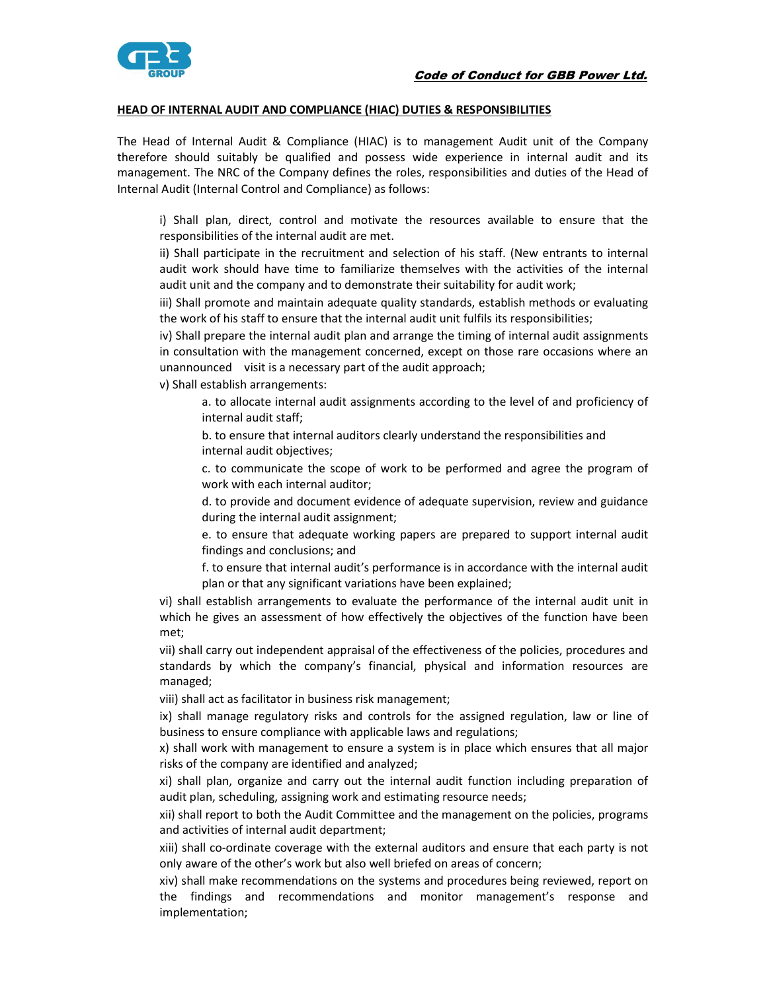

#### HEAD OF INTERNAL AUDIT AND COMPLIANCE (HIAC) DUTIES & RESPONSIBILITIES

The Head of Internal Audit & Compliance (HIAC) is to management Audit unit of the Company therefore should suitably be qualified and possess wide experience in internal audit and its management. The NRC of the Company defines the roles, responsibilities and duties of the Head of Internal Audit (Internal Control and Compliance) as follows:

 i) Shall plan, direct, control and motivate the resources available to ensure that the responsibilities of the internal audit are met.

 ii) Shall participate in the recruitment and selection of his staff. (New entrants to internal audit work should have time to familiarize themselves with the activities of the internal audit unit and the company and to demonstrate their suitability for audit work;

 iii) Shall promote and maintain adequate quality standards, establish methods or evaluating the work of his staff to ensure that the internal audit unit fulfils its responsibilities;

 iv) Shall prepare the internal audit plan and arrange the timing of internal audit assignments in consultation with the management concerned, except on those rare occasions where an unannounced visit is a necessary part of the audit approach;

v) Shall establish arrangements:

 a. to allocate internal audit assignments according to the level of and proficiency of internal audit staff;

 b. to ensure that internal auditors clearly understand the responsibilities and internal audit objectives;

 c. to communicate the scope of work to be performed and agree the program of work with each internal auditor;

 d. to provide and document evidence of adequate supervision, review and guidance during the internal audit assignment;

 e. to ensure that adequate working papers are prepared to support internal audit findings and conclusions; and

 f. to ensure that internal audit's performance is in accordance with the internal audit plan or that any significant variations have been explained;

 vi) shall establish arrangements to evaluate the performance of the internal audit unit in which he gives an assessment of how effectively the objectives of the function have been met;

 vii) shall carry out independent appraisal of the effectiveness of the policies, procedures and standards by which the company's financial, physical and information resources are managed;

viii) shall act as facilitator in business risk management;

 ix) shall manage regulatory risks and controls for the assigned regulation, law or line of business to ensure compliance with applicable laws and regulations;

 x) shall work with management to ensure a system is in place which ensures that all major risks of the company are identified and analyzed;

 xi) shall plan, organize and carry out the internal audit function including preparation of audit plan, scheduling, assigning work and estimating resource needs;

 xii) shall report to both the Audit Committee and the management on the policies, programs and activities of internal audit department;

 xiii) shall co-ordinate coverage with the external auditors and ensure that each party is not only aware of the other's work but also well briefed on areas of concern;

 xiv) shall make recommendations on the systems and procedures being reviewed, report on the findings and recommendations and monitor management's response and implementation;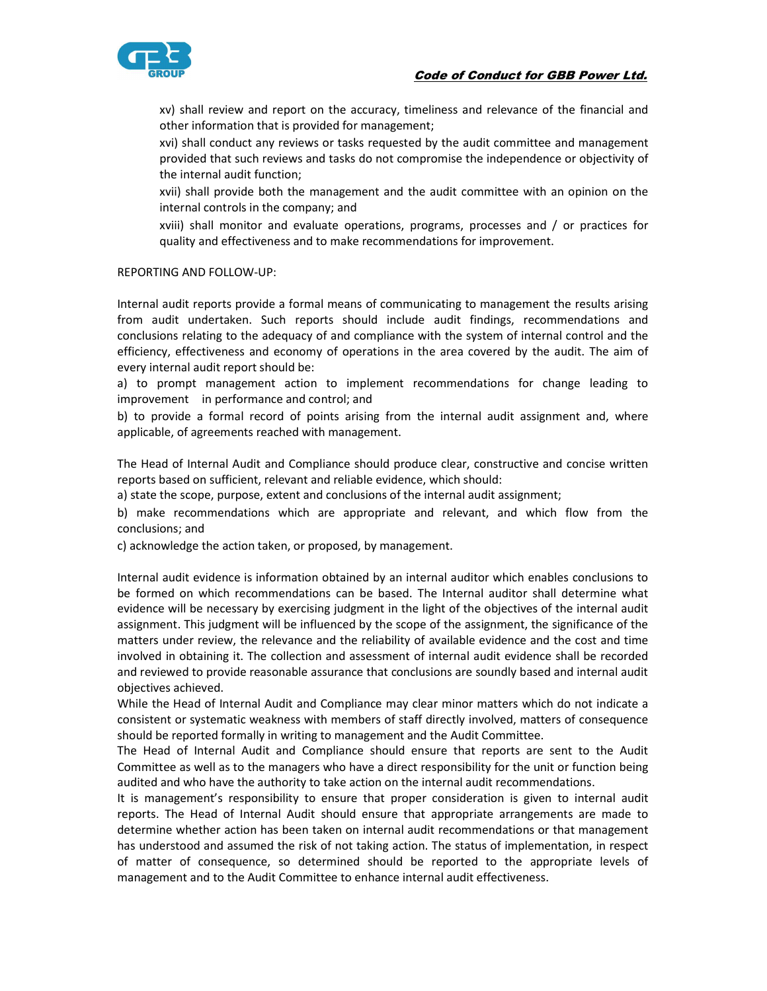# Code of Conduct for GBB Power Ltd.



 xv) shall review and report on the accuracy, timeliness and relevance of the financial and other information that is provided for management;

 xvi) shall conduct any reviews or tasks requested by the audit committee and management provided that such reviews and tasks do not compromise the independence or objectivity of the internal audit function;

 xvii) shall provide both the management and the audit committee with an opinion on the internal controls in the company; and

 xviii) shall monitor and evaluate operations, programs, processes and / or practices for quality and effectiveness and to make recommendations for improvement.

#### REPORTING AND FOLLOW-UP:

Internal audit reports provide a formal means of communicating to management the results arising from audit undertaken. Such reports should include audit findings, recommendations and conclusions relating to the adequacy of and compliance with the system of internal control and the efficiency, effectiveness and economy of operations in the area covered by the audit. The aim of every internal audit report should be:

a) to prompt management action to implement recommendations for change leading to improvement in performance and control; and

b) to provide a formal record of points arising from the internal audit assignment and, where applicable, of agreements reached with management.

The Head of Internal Audit and Compliance should produce clear, constructive and concise written reports based on sufficient, relevant and reliable evidence, which should:

a) state the scope, purpose, extent and conclusions of the internal audit assignment;

b) make recommendations which are appropriate and relevant, and which flow from the conclusions; and

c) acknowledge the action taken, or proposed, by management.

Internal audit evidence is information obtained by an internal auditor which enables conclusions to be formed on which recommendations can be based. The Internal auditor shall determine what evidence will be necessary by exercising judgment in the light of the objectives of the internal audit assignment. This judgment will be influenced by the scope of the assignment, the significance of the matters under review, the relevance and the reliability of available evidence and the cost and time involved in obtaining it. The collection and assessment of internal audit evidence shall be recorded and reviewed to provide reasonable assurance that conclusions are soundly based and internal audit objectives achieved.

While the Head of Internal Audit and Compliance may clear minor matters which do not indicate a consistent or systematic weakness with members of staff directly involved, matters of consequence should be reported formally in writing to management and the Audit Committee.

The Head of Internal Audit and Compliance should ensure that reports are sent to the Audit Committee as well as to the managers who have a direct responsibility for the unit or function being audited and who have the authority to take action on the internal audit recommendations.

It is management's responsibility to ensure that proper consideration is given to internal audit reports. The Head of Internal Audit should ensure that appropriate arrangements are made to determine whether action has been taken on internal audit recommendations or that management has understood and assumed the risk of not taking action. The status of implementation, in respect of matter of consequence, so determined should be reported to the appropriate levels of management and to the Audit Committee to enhance internal audit effectiveness.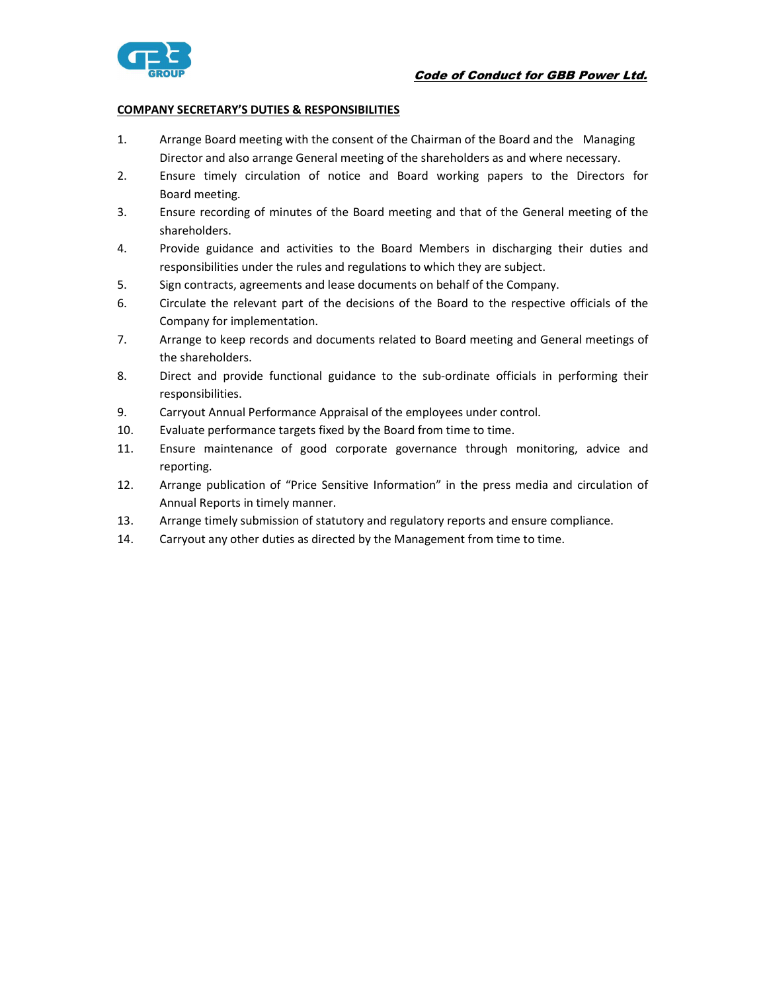

## COMPANY SECRETARY'S DUTIES & RESPONSIBILITIES

- 1. Arrange Board meeting with the consent of the Chairman of the Board and the Managing Director and also arrange General meeting of the shareholders as and where necessary.
- 2. Ensure timely circulation of notice and Board working papers to the Directors for Board meeting.
- 3. Ensure recording of minutes of the Board meeting and that of the General meeting of the shareholders.
- 4. Provide guidance and activities to the Board Members in discharging their duties and responsibilities under the rules and regulations to which they are subject.
- 5. Sign contracts, agreements and lease documents on behalf of the Company.
- 6. Circulate the relevant part of the decisions of the Board to the respective officials of the Company for implementation.
- 7. Arrange to keep records and documents related to Board meeting and General meetings of the shareholders.
- 8. Direct and provide functional guidance to the sub-ordinate officials in performing their responsibilities.
- 9. Carryout Annual Performance Appraisal of the employees under control.
- 10. Evaluate performance targets fixed by the Board from time to time.
- 11. Ensure maintenance of good corporate governance through monitoring, advice and reporting.
- 12. Arrange publication of "Price Sensitive Information" in the press media and circulation of Annual Reports in timely manner.
- 13. Arrange timely submission of statutory and regulatory reports and ensure compliance.
- 14. Carryout any other duties as directed by the Management from time to time.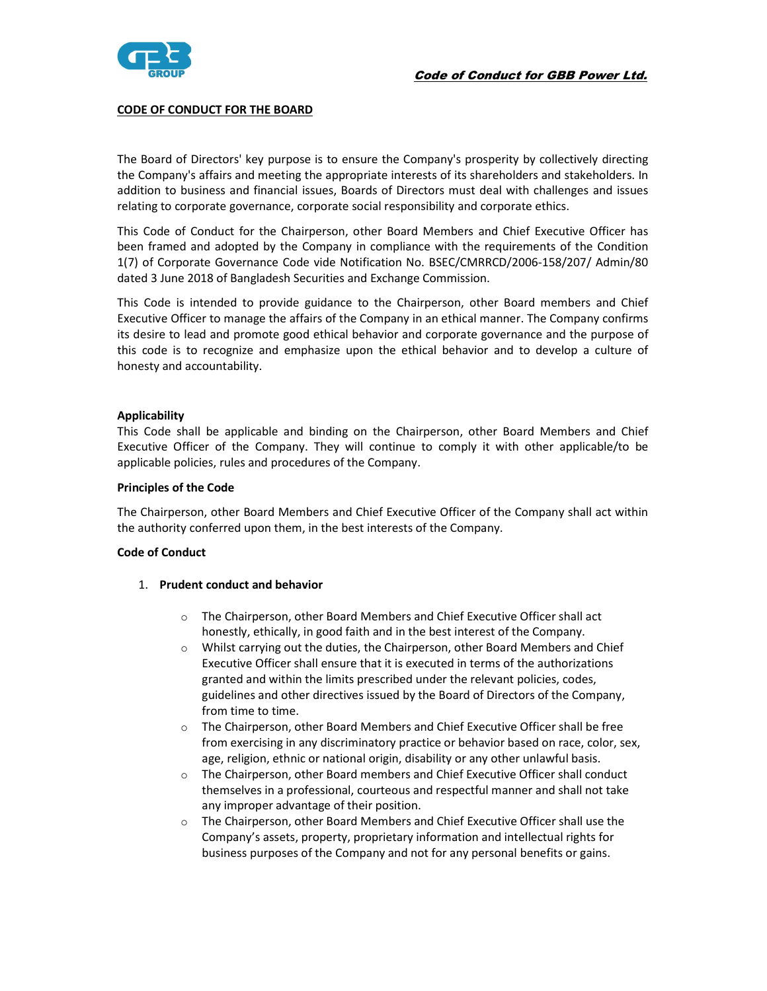

### CODE OF CONDUCT FOR THE BOARD

The Board of Directors' key purpose is to ensure the Company's prosperity by collectively directing the Company's affairs and meeting the appropriate interests of its shareholders and stakeholders. In addition to business and financial issues, Boards of Directors must deal with challenges and issues relating to corporate governance, corporate social responsibility and corporate ethics.

This Code of Conduct for the Chairperson, other Board Members and Chief Executive Officer has been framed and adopted by the Company in compliance with the requirements of the Condition 1(7) of Corporate Governance Code vide Notification No. BSEC/CMRRCD/2006-158/207/ Admin/80 dated 3 June 2018 of Bangladesh Securities and Exchange Commission.

This Code is intended to provide guidance to the Chairperson, other Board members and Chief Executive Officer to manage the affairs of the Company in an ethical manner. The Company confirms its desire to lead and promote good ethical behavior and corporate governance and the purpose of this code is to recognize and emphasize upon the ethical behavior and to develop a culture of honesty and accountability.

#### Applicability

This Code shall be applicable and binding on the Chairperson, other Board Members and Chief Executive Officer of the Company. They will continue to comply it with other applicable/to be applicable policies, rules and procedures of the Company.

#### Principles of the Code

The Chairperson, other Board Members and Chief Executive Officer of the Company shall act within the authority conferred upon them, in the best interests of the Company.

#### Code of Conduct

#### 1. Prudent conduct and behavior

- o The Chairperson, other Board Members and Chief Executive Officer shall act honestly, ethically, in good faith and in the best interest of the Company.
- $\circ$  Whilst carrying out the duties, the Chairperson, other Board Members and Chief Executive Officer shall ensure that it is executed in terms of the authorizations granted and within the limits prescribed under the relevant policies, codes, guidelines and other directives issued by the Board of Directors of the Company, from time to time.
- o The Chairperson, other Board Members and Chief Executive Officer shall be free from exercising in any discriminatory practice or behavior based on race, color, sex, age, religion, ethnic or national origin, disability or any other unlawful basis.
- o The Chairperson, other Board members and Chief Executive Officer shall conduct themselves in a professional, courteous and respectful manner and shall not take any improper advantage of their position.
- $\circ$  The Chairperson, other Board Members and Chief Executive Officer shall use the Company's assets, property, proprietary information and intellectual rights for business purposes of the Company and not for any personal benefits or gains.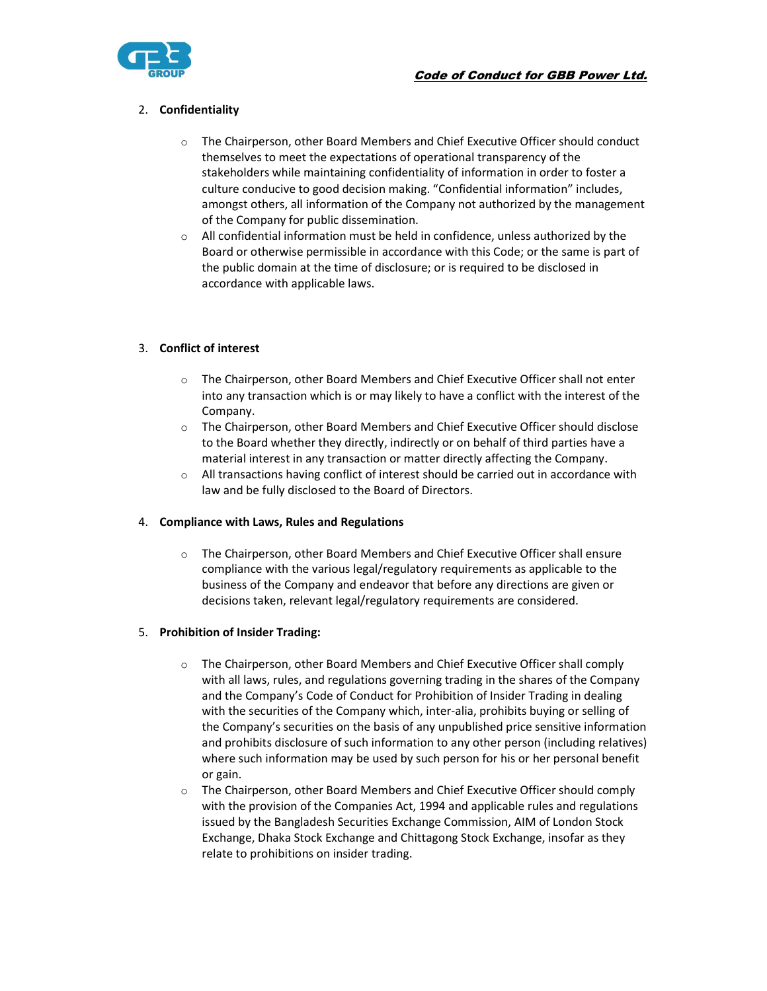



## 2. Confidentiality

- $\circ$  The Chairperson, other Board Members and Chief Executive Officer should conduct themselves to meet the expectations of operational transparency of the stakeholders while maintaining confidentiality of information in order to foster a culture conducive to good decision making. "Confidential information" includes, amongst others, all information of the Company not authorized by the management of the Company for public dissemination.
- $\circ$  All confidential information must be held in confidence, unless authorized by the Board or otherwise permissible in accordance with this Code; or the same is part of the public domain at the time of disclosure; or is required to be disclosed in accordance with applicable laws.

## 3. Conflict of interest

- $\circ$  The Chairperson, other Board Members and Chief Executive Officer shall not enter into any transaction which is or may likely to have a conflict with the interest of the Company.
- o The Chairperson, other Board Members and Chief Executive Officer should disclose to the Board whether they directly, indirectly or on behalf of third parties have a material interest in any transaction or matter directly affecting the Company.
- $\circ$  All transactions having conflict of interest should be carried out in accordance with law and be fully disclosed to the Board of Directors.

#### 4. Compliance with Laws, Rules and Regulations

o The Chairperson, other Board Members and Chief Executive Officer shall ensure compliance with the various legal/regulatory requirements as applicable to the business of the Company and endeavor that before any directions are given or decisions taken, relevant legal/regulatory requirements are considered.

#### 5. Prohibition of Insider Trading:

- $\circ$  The Chairperson, other Board Members and Chief Executive Officer shall comply with all laws, rules, and regulations governing trading in the shares of the Company and the Company's Code of Conduct for Prohibition of Insider Trading in dealing with the securities of the Company which, inter-alia, prohibits buying or selling of the Company's securities on the basis of any unpublished price sensitive information and prohibits disclosure of such information to any other person (including relatives) where such information may be used by such person for his or her personal benefit or gain.
- o The Chairperson, other Board Members and Chief Executive Officer should comply with the provision of the Companies Act, 1994 and applicable rules and regulations issued by the Bangladesh Securities Exchange Commission, AIM of London Stock Exchange, Dhaka Stock Exchange and Chittagong Stock Exchange, insofar as they relate to prohibitions on insider trading.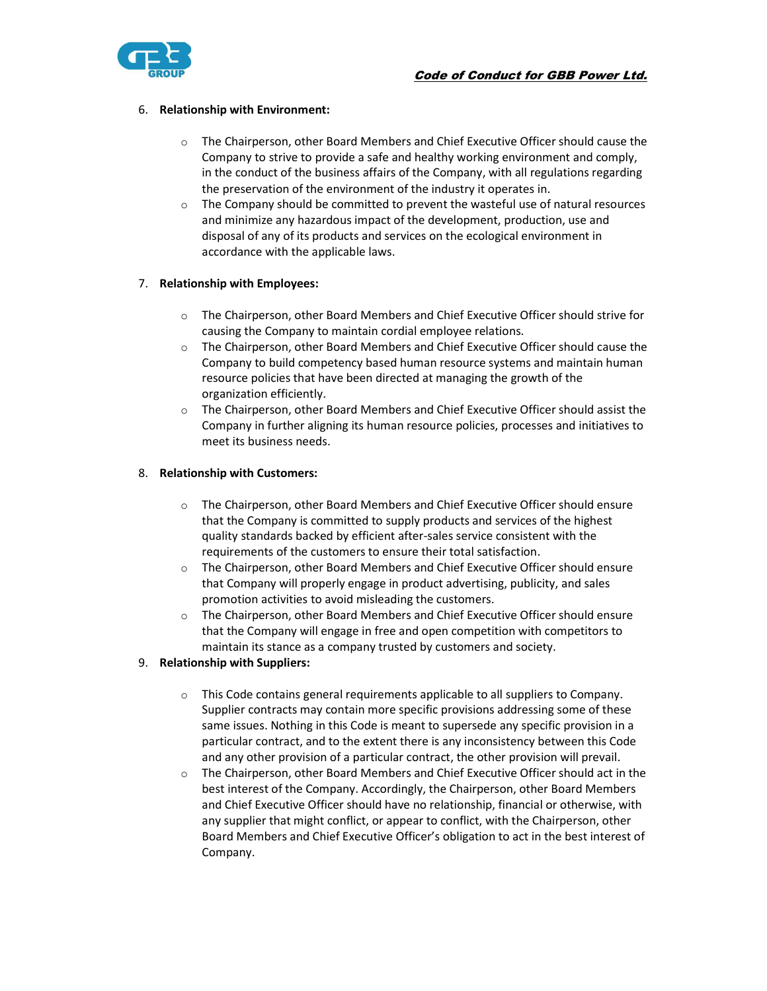

## 6. Relationship with Environment:

- $\circ$  The Chairperson, other Board Members and Chief Executive Officer should cause the Company to strive to provide a safe and healthy working environment and comply, in the conduct of the business affairs of the Company, with all regulations regarding the preservation of the environment of the industry it operates in.
- $\circ$  The Company should be committed to prevent the wasteful use of natural resources and minimize any hazardous impact of the development, production, use and disposal of any of its products and services on the ecological environment in accordance with the applicable laws.

## 7. Relationship with Employees:

- o The Chairperson, other Board Members and Chief Executive Officer should strive for causing the Company to maintain cordial employee relations.
- $\circ$  The Chairperson, other Board Members and Chief Executive Officer should cause the Company to build competency based human resource systems and maintain human resource policies that have been directed at managing the growth of the organization efficiently.
- $\circ$  The Chairperson, other Board Members and Chief Executive Officer should assist the Company in further aligning its human resource policies, processes and initiatives to meet its business needs.

## 8. Relationship with Customers:

- o The Chairperson, other Board Members and Chief Executive Officer should ensure that the Company is committed to supply products and services of the highest quality standards backed by efficient after-sales service consistent with the requirements of the customers to ensure their total satisfaction.
- $\circ$  The Chairperson, other Board Members and Chief Executive Officer should ensure that Company will properly engage in product advertising, publicity, and sales promotion activities to avoid misleading the customers.
- o The Chairperson, other Board Members and Chief Executive Officer should ensure that the Company will engage in free and open competition with competitors to maintain its stance as a company trusted by customers and society.

## 9. Relationship with Suppliers:

- $\circ$  This Code contains general requirements applicable to all suppliers to Company. Supplier contracts may contain more specific provisions addressing some of these same issues. Nothing in this Code is meant to supersede any specific provision in a particular contract, and to the extent there is any inconsistency between this Code and any other provision of a particular contract, the other provision will prevail.
- $\circ$  The Chairperson, other Board Members and Chief Executive Officer should act in the best interest of the Company. Accordingly, the Chairperson, other Board Members and Chief Executive Officer should have no relationship, financial or otherwise, with any supplier that might conflict, or appear to conflict, with the Chairperson, other Board Members and Chief Executive Officer's obligation to act in the best interest of Company.